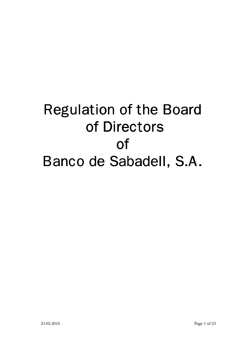# Regulation of the Board of Directors of Banco de Sabadell, S.A.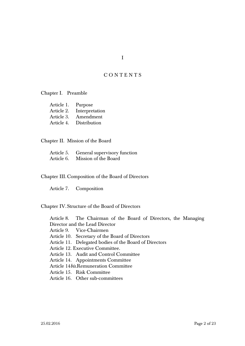# C O N T E N T S

Chapter I. Preamble

| Article 1. | Purpose        |
|------------|----------------|
| Article 2. | Interpretation |
| Article 3. | Amendment      |
| Article 4. | Distribution   |

Chapter II. Mission of the Board

|            | Article 5. General supervisory function |
|------------|-----------------------------------------|
| Article 6. | Mission of the Board                    |

Chapter III. Composition of the Board of Directors

Article 7. Composition

Chapter IV. Structure of the Board of Directors

Article 8. The Chairman of the Board of Directors, the Managing Director and the Lead Director

Article 9. Vice-Chairmen

Article 10. Secretary of the Board of Directors

Article 11. Delegated bodies of the Board of Directors

Article 12. Executive Committee.

Article 13. Audit and Control Committee

Article 14. Appointments Committee

Article 14*bis*.Remuneration Committee

Article 15. Risk Committee

Article 16. Other sub-committees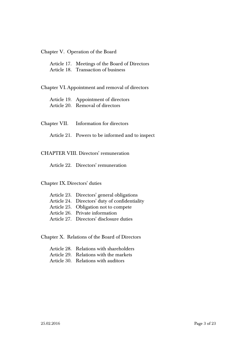### Chapter V. Operation of the Board

Article 17. Meetings of the Board of Directors

Article 18. Transaction of business

Chapter VI. Appointment and removal of directors

Article 19. Appointment of directors

Article 20. Removal of directors

Chapter VII. Information for directors

Article 21. Powers to be informed and to inspect

## CHAPTER VIII. Directors' remuneration

Article 22. Directors' remuneration

#### Chapter IX. Directors' duties

| Article 23. Directors' general obligations     |
|------------------------------------------------|
| Article 24. Directors' duty of confidentiality |
| Article 25. Obligation not to compete          |
| Article 26. Private information                |
| Article 27. Directors' disclosure duties       |

Chapter X. Relations of the Board of Directors

| Article 28. Relations with shareholders |
|-----------------------------------------|
| Article 29. Relations with the markets  |
| Article 30. Relations with auditors     |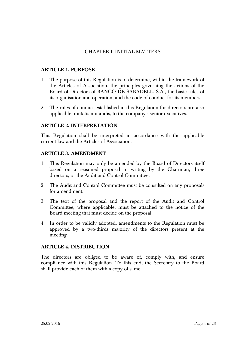# CHAPTER I. INITIAL MATTERS

# **ARTICLE 1. PURPOSE**

- 1. The purpose of this Regulation is to determine, within the framework of the Articles of Association, the principles governing the actions of the Board of Directors of BANCO DE SABADELL, S.A., the basic rules of its organisation and operation, and the code of conduct for its members.
- 2. The rules of conduct established in this Regulation for directors are also applicable, mutatis mutandis, to the company's senior executives.

# **ARTICLE 2. INTERPRETATION**

This Regulation shall be interpreted in accordance with the applicable current law and the Articles of Association.

# **ARTICLE 3. AMENDMENT**

- 1. This Regulation may only be amended by the Board of Directors itself based on a reasoned proposal in writing by the Chairman, three directors, or the Audit and Control Committee.
- 2. The Audit and Control Committee must be consulted on any proposals for amendment.
- 3. The text of the proposal and the report of the Audit and Control Committee, where applicable, must be attached to the notice of the Board meeting that must decide on the proposal.
- 4. In order to be validly adopted, amendments to the Regulation must be approved by a two-thirds majority of the directors present at the meeting.

#### **ARTICLE 4. DISTRIBUTION**

The directors are obliged to be aware of, comply with, and ensure compliance with this Regulation. To this end, the Secretary to the Board shall provide each of them with a copy of same.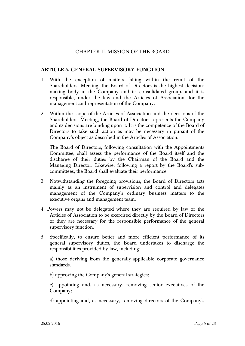# CHAPTER II. MISSION OF THE BOARD

# **ARTICLE 5. GENERAL SUPERVISORY FUNCTION**

- 1. With the exception of matters falling within the remit of the Shareholders' Meeting, the Board of Directors is the highest decisionmaking body in the Company and its consolidated group, and it is responsible, under the law and the Articles of Association, for the management and representation of the Company.
- 2. Within the scope of the Articles of Association and the decisions of the Shareholders' Meeting, the Board of Directors represents the Company and its decisions are binding upon it. It is the competence of the Board of Directors to take such action as may be necessary in pursuit of the Company's object as described in the Articles of Association.

The Board of Directors, following consultation with the Appointments Committee, shall assess the performance of the Board itself and the discharge of their duties by the Chairman of the Board and the Managing Director. Likewise, following a report by the Board's subcommittees, the Board shall evaluate their performance.

- 3. Notwithstanding the foregoing provisions, the Board of Directors acts mainly as an instrument of supervision and control and delegates management of the Company's ordinary business matters to the executive organs and management team.
- 4. Powers may not be delegated where they are required by law or the Articles of Association to be exercised directly by the Board of Directors or they are necessary for the responsible performance of the general supervisory function.
- 5. Specifically, to ensure better and more efficient performance of its general supervisory duties, the Board undertakes to discharge the responsibilities provided by law, including:

a) those deriving from the generally-applicable corporate governance standards.

b) approving the Company's general strategies;

c) appointing and, as necessary, removing senior executives of the Company;

d) appointing and, as necessary, removing directors of the Company's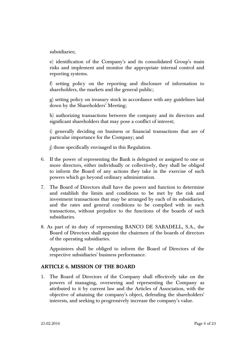subsidiaries;

e) identification of the Company's and its consolidated Group's main risks and implement and monitor the appropriate internal control and reporting systems.

f) setting policy on the reporting and disclosure of information to shareholders, the markets and the general public;

g) setting policy on treasury stock in accordance with any guidelines laid down by the Shareholders' Meeting;

h) authorizing transactions between the company and its directors and significant shareholders that may pose a conflict of interest;

i) generally deciding on business or financial transactions that are of particular importance for the Company; and

j) those specifically envisaged in this Regulation.

- 6. If the power of representing the Bank is delegated or assigned to one or more directors, either individually or collectively, they shall be obliged to inform the Board of any actions they take in the exercise of such powers which go beyond ordinary administration.
- 7. The Board of Directors shall have the power and function to determine and establish the limits and conditions to be met by the risk and investment transactions that may be arranged by each of its subsidiaries, and the rates and general conditions to be complied with in such transactions, without prejudice to the functions of the boards of such subsidiaries.
- 8. As part of its duty of representing BANCO DE SABADELL, S.A., the Board of Directors shall appoint the chairmen of the boards of directors of the operating subsidiaries.

Appointees shall be obliged to inform the Board of Directors of the respective subsidiaries' business performance.

# **ARTICLE 6. MISSION OF THE BOARD**

1. The Board of Directors of the Company shall effectively take on the powers of managing, overseeing and representing the Company as attributed to it by current law and the Articles of Association, with the objective of attaining the company's object, defending the shareholders' interests, and seeking to progressively increase the company's value.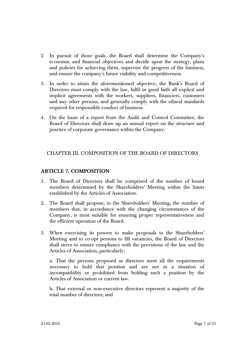- 2. In pursuit of those goals, the Board shall determine the Company's economic and financial objectives and decide upon the strategy, plans and policies for achieving them, supervise the progress of the business, and ensure the company's future viability and competitiveness.
- 3. In order to attain the aforementioned objective, the Bank's Board of Directors must comply with the law, fulfil in good faith all explicit and implicit agreements with the workers, suppliers, financiers, customers and any other persons, and generally comply with the ethical standards required for responsible conduct of business.
- 4. On the basis of a report from the Audit and Control Committee, the Board of Directors shall draw up an annual report on the structure and practice of corporate governance within the Company.

# CHAPTER III. COMPOSITION OF THE BOARD OF DIRECTORS

# **ARTICLE 7. COMPOSITION**

- 1. The Board of Directors shall be comprised of the number of board members determined by the Shareholders' Meeting within the limits established by the Articles of Association.
- 2. The Board shall propose, to the Shareholders' Meeting, the number of members that, in accordance with the changing circumstances of the Company, is most suitable for ensuring proper representativeness and the efficient operation of the Board.
- 3. When exercising its powers to make proposals to the Shareholders' Meeting and to co-opt persons to fill vacancies, the Board of Directors shall strive to ensure compliance with the provisions of the law and the Articles of Association, particularly:

a. That the persons proposed as directors meet all the requirements necessary to hold that position and are not in a situation of incompatibility or prohibited from holding such a position by the Articles of Association or current law.

b. That external or non-executive directors represent a majority of the total number of directors; and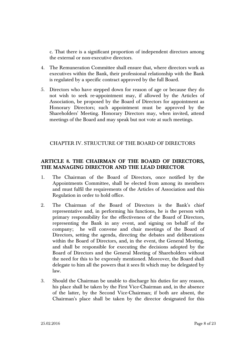c. That there is a significant proportion of independent directors among the external or non-executive directors.

- 4. The Remuneration Committee shall ensure that, where directors work as executives within the Bank, their professional relationship with the Bank is regulated by a specific contract approved by the full Board.
- 5. Directors who have stepped down for reason of age or because they do not wish to seek re-appointment may, if allowed by the Articles of Association, be proposed by the Board of Directors for appointment as Honorary Directors; such appointment must be approved by the Shareholders' Meeting. Honorary Directors may, when invited, attend meetings of the Board and may speak but not vote at such meetings.

# CHAPTER IV. STRUCTURE OF THE BOARD OF DIRECTORS

# **ARTICLE 8. THE CHAIRMAN OF THE BOARD OF DIRECTORS, THE MANAGING DIRECTOR AND THE LEAD DIRECTOR**

- 1. The Chairman of the Board of Directors, once notified by the Appointments Committee, shall be elected from among its members and must fulfil the requirements of the Articles of Association and this Regulation in order to hold office.
- 2. The Chairman of the Board of Directors is the Bank's chief representative and, in performing his functions, he is the person with primary responsibility for the effectiveness of the Board of Directors, representing the Bank in any event, and signing on behalf of the company; he will convene and chair meetings of the Board of Directors, setting the agenda, directing the debates and deliberations within the Board of Directors, and, in the event, the General Meeting, and shall be responsible for executing the decisions adopted by the Board of Directors and the General Meeting of Shareholders without the need for this to be expressly mentioned. Moreover, the Board shall delegate to him all the powers that it sees fit which may be delegated by law.
- 3. Should the Chairman be unable to discharge his duties for any reason, his place shall be taken by the First Vice-Chairman and, in the absence of the latter, by the Second Vice-Chairman; if both are absent, the Chairman's place shall be taken by the director designated for this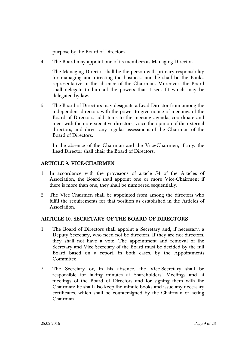purpose by the Board of Directors.

4. The Board may appoint one of its members as Managing Director.

The Managing Director shall be the person with primary responsibility for managing and directing the business, and he shall be the Bank's representative in the absence of the Chairman. Moreover, the Board shall delegate to him all the powers that it sees fit which may be delegated by law.

5. The Board of Directors may designate a Lead Director from among the independent directors with the power to give notice of meetings of the Board of Directors, add items to the meeting agenda, coordinate and meet with the non-executive directors, voice the opinion of the external directors, and direct any regular assessment of the Chairman of the Board of Directors.

In the absence of the Chairman and the Vice-Chairmen, if any, the Lead Director shall chair the Board of Directors.

# **ARTICLE 9. VICE-CHAIRMEN**

- 1. In accordance with the provisions of article 54 of the Articles of Association, the Board shall appoint one or more Vice-Chairmen; if there is more than one, they shall be numbered sequentially.
- 2. The Vice-Chairmen shall be appointed from among the directors who fulfil the requirements for that position as established in the Articles of Association.

# **ARTICLE 10. SECRETARY OF THE BOARD OF DIRECTORS**

- 1. The Board of Directors shall appoint a Secretary and, if necessary, a Deputy Secretary, who need not be directors. If they are not directors, they shall not have a vote. The appointment and removal of the Secretary and Vice-Secretary of the Board must be decided by the full Board based on a report, in both cases, by the Appointments Committee.
- 2. The Secretary or, in his absence, the Vice-Secretary shall be responsible for taking minutes at Shareholders' Meetings and at meetings of the Board of Directors and for signing them with the Chairman; he shall also keep the minute books and issue any necessary certificates, which shall be countersigned by the Chairman or acting Chairman.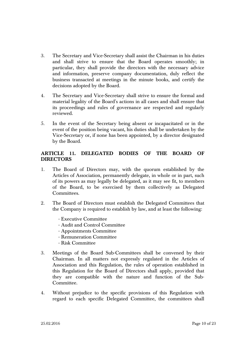- 3. The Secretary and Vice-Secretary shall assist the Chairman in his duties and shall strive to ensure that the Board operates smoothly; in particular, they shall provide the directors with the necessary advice and information, preserve company documentation, duly reflect the business transacted at meetings in the minute books, and certify the decisions adopted by the Board.
- 4. The Secretary and Vice-Secretary shall strive to ensure the formal and material legality of the Board's actions in all cases and shall ensure that its proceedings and rules of governance are respected and regularly reviewed.
- 5. In the event of the Secretary being absent or incapacitated or in the event of the position being vacant, his duties shall be undertaken by the Vice-Secretary or, if none has been appointed, by a director designated by the Board.

# **ARTICLE 11. DELEGATED BODIES OF THE BOARD OF DIRECTORS**

- 1. The Board of Directors may, with the quorum established by the Articles of Association, permanently delegate, in whole or in part, such of its powers as may legally be delegated, as it may see fit, to members of the Board, to be exercised by them collectively as Delegated Committees.
- 2. The Board of Directors must establish the Delegated Committees that the Company is required to establish by law, and at least the following:
	- Executive Committee
	- Audit and Control Committee
	- Appointments Committee
	- Remuneration Committee
	- Risk Committee
- 3. Meetings of the Board Sub-Committees shall be convened by their Chairman. In all matters not expressly regulated in the Articles of Association and this Regulation, the rules of operation established in this Regulation for the Board of Directors shall apply, provided that they are compatible with the nature and function of the Sub-Committee.
- 4. Without prejudice to the specific provisions of this Regulation with regard to each specific Delegated Committee, the committees shall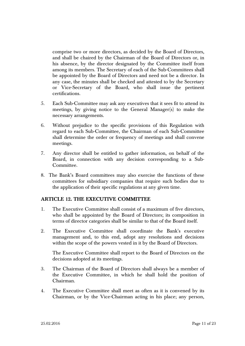comprise two or more directors, as decided by the Board of Directors, and shall be chaired by the Chairman of the Board of Directors or, in his absence, by the director designated by the Committee itself from among its members. The Secretary of each of the Sub-Committees shall be appointed by the Board of Directors and need not be a director. In any case, the minutes shall be checked and attested to by the Secretary or Vice-Secretary of the Board, who shall issue the pertinent certifications.

- 5. Each Sub-Committee may ask any executives that it sees fit to attend its meetings, by giving notice to the General Manager(s) to make the necessary arrangements.
- 6. Without prejudice to the specific provisions of this Regulation with regard to each Sub-Committee, the Chairman of each Sub-Committee shall determine the order or frequency of meetings and shall convene meetings.
- 7. Any director shall be entitled to gather information, on behalf of the Board, in connection with any decision corresponding to a Sub-Committee.
- 8. The Bank's Board committees may also exercise the functions of these committees for subsidiary companies that require such bodies due to the application of their specific regulations at any given time.

# **ARTICLE 12. THE EXECUTIVE COMMITTEE**

- 1. The Executive Committee shall consist of a maximum of five directors, who shall be appointed by the Board of Directors; its composition in terms of director categories shall be similar to that of the Board itself.
- 2. The Executive Committee shall coordinate the Bank's executive management and, to this end, adopt any resolutions and decisions within the scope of the powers vested in it by the Board of Directors.

The Executive Committee shall report to the Board of Directors on the decisions adopted at its meetings.

- 3. The Chairman of the Board of Directors shall always be a member of the Executive Committee, in which he shall hold the position of Chairman.
- 4. The Executive Committee shall meet as often as it is convened by its Chairman, or by the Vice-Chairman acting in his place; any person,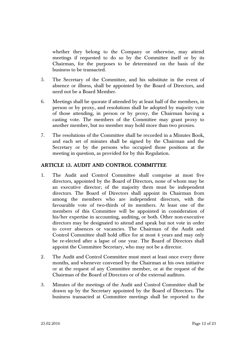whether they belong to the Company or otherwise, may attend meetings if requested to do so by the Committee itself or by its Chairman, for the purposes to be determined on the basis of the business to be transacted.

- 5. The Secretary of the Committee, and his substitute in the event of absence or illness, shall be appointed by the Board of Directors, and need not be a Board Member.
- 6. Meetings shall be quorate if attended by at least half of the members, in person or by proxy, and resolutions shall be adopted by majority vote of those attending, in person or by proxy, the Chairman having a casting vote. The members of the Committee may grant proxy to another member, but no member may hold more than two proxies.
- 7. The resolutions of the Committee shall be recorded in a Minutes Book, and each set of minutes shall be signed by the Chairman and the Secretary or by the persons who occupied those positions at the meeting in question, as provided for by this Regulation.

# **ARTICLE 13. AUDIT AND CONTROL COMMITTEE**

- 1. The Audit and Control Committee shall comprise at most five directors, appointed by the Board of Directors, none of whom may be an executive director; of the majority them must be independent directors. The Board of Directors shall appoint its Chairman from among the members who are independent directors, with the favourable vote of two-thirds of its members. At least one of the members of this Committee will be appointed in consideration of his/her expertise in accounting, auditing, or both. Other non-executive directors may be designated to attend and speak but not vote in order to cover absences or vacancies. The Chairman of the Audit and Control Committee shall hold office for at most 4 years and may only be re-elected after a lapse of one year. The Board of Directors shall appoint the Committee Secretary, who may not be a director.
- 2. The Audit and Control Committee must meet at least once every three months, and whenever convened by the Chairman at his own initiative or at the request of any Committee member, or at the request of the Chairman of the Board of Directors or of the external auditors.
- 3. Minutes of the meetings of the Audit and Control Committee shall be drawn up by the Secretary appointed by the Board of Directors. The business transacted at Committee meetings shall be reported to the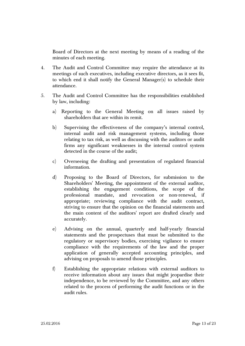Board of Directors at the next meeting by means of a reading of the minutes of each meeting.

- 4. The Audit and Control Committee may require the attendance at its meetings of such executives, including executive directors, as it sees fit, to which end it shall notify the General Manager(s) to schedule their attendance.
- 5. The Audit and Control Committee has the responsibilities established by law, including:
	- a) Reporting to the General Meeting on all issues raised by shareholders that are within its remit.
	- b) Supervising the effectiveness of the company's internal control, internal audit and risk management systems, including those relating to tax risk, as well as discussing with the auditors or audit firms any significant weaknesses in the internal control system detected in the course of the audit;
	- c) Overseeing the drafting and presentation of regulated financial information.
	- d) Proposing to the Board of Directors, for submission to the Shareholders' Meeting, the appointment of the external auditor, establishing the engagement conditions, the scope of the professional mandate, and revocation or non-renewal, if appropriate; reviewing compliance with the audit contract, striving to ensure that the opinion on the financial statements and the main content of the auditors' report are drafted clearly and accurately.
	- e) Advising on the annual, quarterly and half-yearly financial statements and the prospectuses that must be submitted to the regulatory or supervisory bodies, exercising vigilance to ensure compliance with the requirements of the law and the proper application of generally accepted accounting principles, and advising on proposals to amend those principles.
	- f) Establishing the appropriate relations with external auditors to receive information about any issues that might jeopardise their independence, to be reviewed by the Committee, and any others related to the process of performing the audit functions or in the audit rules.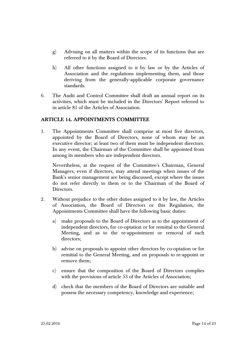- g) Advising on all matters within the scope of its functions that are referred to it by the Board of Directors.
- h) All other functions assigned to it by law or by the Articles of Association and the regulations implementing them, and those deriving from the generally-applicable corporate governance standards.
- 6. The Audit and Control Committee shall draft an annual report on its activities, which must be included in the Directors' Report referred to in article 81 of the Articles of Association.

# **ARTICLE 14. APPOINTMENTS COMMITTEE**

1. The Appointments Committee shall comprise at most five directors, appointed by the Board of Directors, none of whom may be an executive director; at least two of them must be independent directors. In any event, the Chairman of the Committee shall be appointed from among its members who are independent directors.

Nevertheless, at the request of the Committee's Chairman, General Managers, even if directors, may attend meetings when issues of the Bank's senior management are being discussed, except where the issues do not refer directly to them or to the Chairman of the Board of Directors.

- 2. Without prejudice to the other duties assigned to it by law, the Articles of Association, the Board of Directors or this Regulation, the Appointments Committee shall have the following basic duties:
	- a) make proposals to the Board of Directors as to the appointment of independent directors, for co-optation or for remittal to the General Meeting, and as to the re-appointment or removal of such directors;
	- b) advise on proposals to appoint other directors by co-optation or for remittal to the General Meeting, and on proposals to re-appoint or remove them;
	- c) ensure that the composition of the Board of Directors complies with the provisions of article 53 of the Articles of Association;
	- d) check that the members of the Board of Directors are suitable and possess the necessary competency, knowledge and experience;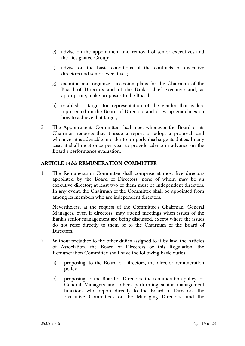- e) advise on the appointment and removal of senior executives and the Designated Group;
- f) advise on the basic conditions of the contracts of executive directors and senior executives;
- g) examine and organize succession plans for the Chairman of the Board of Directors and of the Bank's chief executive and, as appropriate, make proposals to the Board;
- h) establish a target for representation of the gender that is less represented on the Board of Directors and draw up guidelines on how to achieve that target;
- 3. The Appointments Committee shall meet whenever the Board or its Chairman requests that it issue a report or adopt a proposal, and whenever it is advisable in order to properly discharge its duties. In any case, it shall meet once per year to provide advice in advance on the Board's performance evaluation.

# **ARTICLE 14bis REMUNERATION COMMITTEE**

1. The Remuneration Committee shall comprise at most five directors appointed by the Board of Directors, none of whom may be an executive director; at least two of them must be independent directors. In any event, the Chairman of the Committee shall be appointed from among its members who are independent directors.

Nevertheless, at the request of the Committee's Chairman, General Managers, even if directors, may attend meetings when issues of the Bank's senior management are being discussed, except where the issues do not refer directly to them or to the Chairman of the Board of Directors.

- 2. Without prejudice to the other duties assigned to it by law, the Articles of Association, the Board of Directors or this Regulation, the Remuneration Committee shall have the following basic duties:
	- a) proposing, to the Board of Directors, the director remuneration policy
	- b) proposing, to the Board of Directors, the remuneration policy for General Managers and others performing senior management functions who report directly to the Board of Directors, the Executive Committees or the Managing Directors, and the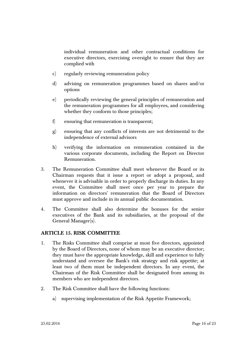individual remuneration and other contractual conditions for executive directors, exercising oversight to ensure that they are complied with

- c) regularly reviewing remuneration policy
- d) advising on remuneration programmes based on shares and/or options
- e) periodically reviewing the general principles of remuneration and the remuneration programmes for all employees, and considering whether they conform to those principles;
- f) ensuring that remuneration is transparent;
- g) ensuring that any conflicts of interests are not detrimental to the independence of external advisors
- h) verifying the information on remuneration contained in the various corporate documents, including the Report on Director Remuneration.
- 3. The Remuneration Committee shall meet whenever the Board or its Chairman requests that it issue a report or adopt a proposal, and whenever it is advisable in order to properly discharge its duties. In any event, the Committee shall meet once per year to prepare the information on directors' remuneration that the Board of Directors must approve and include in its annual public documentation.
- 4. The Committee shall also determine the bonuses for the senior executives of the Bank and its subsidiaries, at the proposal of the General Manager(s).

#### **ARTICLE 15. RISK COMMITTEE**

- 1. The Risks Committee shall comprise at most five directors, appointed by the Board of Directors, none of whom may be an executive director; they must have the appropriate knowledge, skill and experience to fully understand and oversee the Bank's risk strategy and risk appetite; at least two of them must be independent directors. In any event, the Chairman of the Risk Committee shall be designated from among its members who are independent directors.
- 2. The Risk Committee shall have the following functions:
	- a) supervising implementation of the Risk Appetite Framework;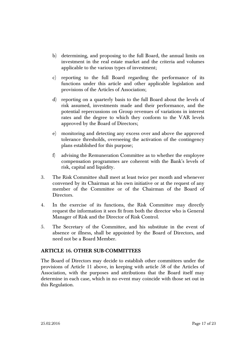- b) determining, and proposing to the full Board, the annual limits on investment in the real estate market and the criteria and volumes applicable to the various types of investment;
- c) reporting to the full Board regarding the performance of its functions under this article and other applicable legislation and provisions of the Articles of Association;
- d) reporting on a quarterly basis to the full Board about the levels of risk assumed, investments made and their performance, and the potential repercussions on Group revenues of variations in interest rates and the degree to which they conform to the VAR levels approved by the Board of Directors;
- e) monitoring and detecting any excess over and above the approved tolerance thresholds, overseeing the activation of the contingency plans established for this purpose;
- f) advising the Remuneration Committee as to whether the employee compensation programmes are coherent with the Bank's levels of risk, capital and liquidity.
- 3. The Risk Committee shall meet at least twice per month and whenever convened by its Chairman at his own initiative or at the request of any member of the Committee or of the Chairman of the Board of Directors.
- 4. In the exercise of its functions, the Risk Committee may directly request the information it sees fit from both the director who is General Manager of Risk and the Director of Risk Control.
- 5. The Secretary of the Committee, and his substitute in the event of absence or illness, shall be appointed by the Board of Directors, and need not be a Board Member.

# **ARTICLE 16. OTHER SUB-COMMITTEES**

The Board of Directors may decide to establish other committees under the provisions of Article 11 above, in keeping with article 58 of the Articles of Association, with the purposes and attributions that the Board itself may determine in each case, which in no event may coincide with those set out in this Regulation.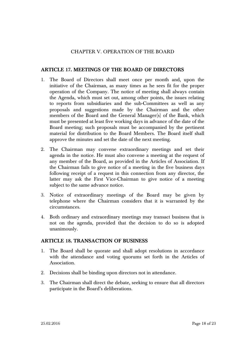# CHAPTER V. OPERATION OF THE BOARD

## **ARTICLE 17. MEETINGS OF THE BOARD OF DIRECTORS**

- 1. The Board of Directors shall meet once per month and, upon the initiative of the Chairman, as many times as he sees fit for the proper operation of the Company. The notice of meeting shall always contain the Agenda, which must set out, among other points, the issues relating to reports from subsidiaries and the sub-Committees as well as any proposals and suggestions made by the Chairman and the other members of the Board and the General Manager(s) of the Bank, which must be presented at least five working days in advance of the date of the Board meeting; such proposals must be accompanied by the pertinent material for distribution to the Board Members. The Board itself shall approve the minutes and set the date of the next meeting.
- 2. The Chairman may convene extraordinary meetings and set their agenda in the notice. He must also convene a meeting at the request of any member of the Board, as provided in the Articles of Association. If the Chairman fails to give notice of a meeting in the five business days following receipt of a request in this connection from any director, the latter may ask the First Vice-Chairman to give notice of a meeting subject to the same advance notice.
- 3. Notice of extraordinary meetings of the Board may be given by telephone where the Chairman considers that it is warranted by the circumstances.
- 4. Both ordinary and extraordinary meetings may transact business that is not on the agenda, provided that the decision to do so is adopted unanimously.

#### **ARTICLE 18. TRANSACTION OF BUSINESS**

- 1. The Board shall be quorate and shall adopt resolutions in accordance with the attendance and voting quorums set forth in the Articles of Association.
- 2. Decisions shall be binding upon directors not in attendance.
- 3. The Chairman shall direct the debate, seeking to ensure that all directors participate in the Board's deliberations.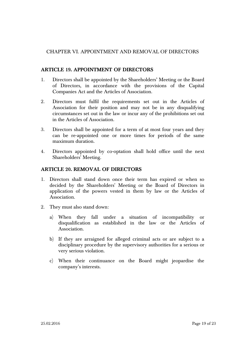# CHAPTER VI. APPOINTMENT AND REMOVAL OF DIRECTORS

# **ARTICLE 19. APPOINTMENT OF DIRECTORS**

- 1. Directors shall be appointed by the Shareholders' Meeting or the Board of Directors, in accordance with the provisions of the Capital Companies Act and the Articles of Association.
- 2. Directors must fulfil the requirements set out in the Articles of Association for their position and may not be in any disqualifying circumstances set out in the law or incur any of the prohibitions set out in the Articles of Association.
- 3. Directors shall be appointed for a term of at most four years and they can be re-appointed one or more times for periods of the same maximum duration.
- 4. Directors appointed by co-optation shall hold office until the next Shareholders' Meeting.

# **ARTICLE 20. REMOVAL OF DIRECTORS**

- 1. Directors shall stand down once their term has expired or when so decided by the Shareholders' Meeting or the Board of Directors in application of the powers vested in them by law or the Articles of Association.
- 2. They must also stand down:
	- a) When they fall under a situation of incompatibility or disqualification as established in the law or the Articles of Association.
	- b) If they are arraigned for alleged criminal acts or are subject to a disciplinary procedure by the supervisory authorities for a serious or very serious violation.
	- c) When their continuance on the Board might jeopardise the company's interests.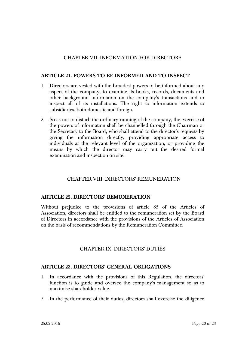## CHAPTER VII. INFORMATION FOR DIRECTORS

### **ARTICLE 21. POWERS TO BE INFORMED AND TO INSPECT**

- 1. Directors are vested with the broadest powers to be informed about any aspect of the company, to examine its books, records, documents and other background information on the company's transactions and to inspect all of its installations. The right to information extends to subsidiaries, both domestic and foreign.
- 2. So as not to disturb the ordinary running of the company, the exercise of the powers of information shall be channelled through the Chairman or the Secretary to the Board, who shall attend to the director's requests by giving the information directly, providing appropriate access to individuals at the relevant level of the organization, or providing the means by which the director may carry out the desired formal examination and inspection on site.

# CHAPTER VIII. DIRECTORS' REMUNERATION

#### **ARTICLE 22. DIRECTORS' REMUNERATION**

Without prejudice to the provisions of article 85 of the Articles of Association, directors shall be entitled to the remuneration set by the Board of Directors in accordance with the provisions of the Articles of Association on the basis of recommendations by the Remuneration Committee.

#### CHAPTER IX. DIRECTORS' DUTIES

#### **ARTICLE 23. DIRECTORS' GENERAL OBLIGATIONS**

- 1. In accordance with the provisions of this Regulation, the directors' function is to guide and oversee the company's management so as to maximise shareholder value.
- 2. In the performance of their duties, directors shall exercise the diligence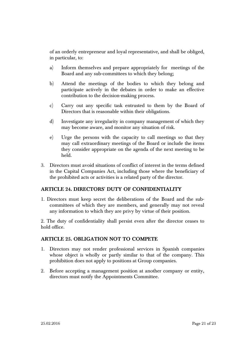of an orderly entrepreneur and loyal representative, and shall be obliged, in particular, to:

- a) Inform themselves and prepare appropriately for meetings of the Board and any sub-committees to which they belong;
- b) Attend the meetings of the bodies to which they belong and participate actively in the debates in order to make an effective contribution to the decision-making process.
- c) Carry out any specific task entrusted to them by the Board of Directors that is reasonable within their obligations.
- d) Investigate any irregularity in company management of which they may become aware, and monitor any situation of risk.
- e) Urge the persons with the capacity to call meetings so that they may call extraordinary meetings of the Board or include the items they consider appropriate on the agenda of the next meeting to be held.
- 3. Directors must avoid situations of conflict of interest in the terms defined in the Capital Companies Act, including those where the beneficiary of the prohibited acts or activities is a related party of the director.

# **ARTICLE 24. DIRECTORS' DUTY OF CONFIDENTIALITY**

1. Directors must keep secret the deliberations of the Board and the subcommittees of which they are members, and generally may not reveal any information to which they are privy by virtue of their position.

2. The duty of confidentiality shall persist even after the director ceases to hold office.

# **ARTICLE 25. OBLIGATION NOT TO COMPETE**

- 1. Directors may not render professional services in Spanish companies whose object is wholly or partly similar to that of the company. This prohibition does not apply to positions at Group companies.
- 2. Before accepting a management position at another company or entity, directors must notify the Appointments Committee.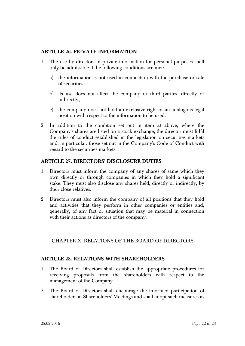# **ARTICLE 26. PRIVATE INFORMATION**

- 1. The use by directors of private information for personal purposes shall only be admissible if the following conditions are met:
	- a) the information is not used in connection with the purchase or sale of securities;
	- b) its use does not affect the company or third parties, directly or indirectly;
	- c) the company does not hold an exclusive right or an analogous legal position with respect to the information to be used.
- 2. In addition to the condition set out in item a) above, where the Company's shares are listed on a stock exchange, the director must fulfil the rules of conduct established in the legislation on securities markets and, in particular, those set out in the Company's Code of Conduct with regard to the securities markets.

# **ARTICLE 27. DIRECTORS' DISCLOSURE DUTIES**

- 1. Directors must inform the company of any shares of same which they own directly or through companies in which they hold a significant stake. They must also disclose any shares held, directly or indirectly, by their close relatives.
- 2. Directors must also inform the company of all positions that they hold and activities that they perform in other companies or entities and, generally, of any fact or situation that may be material in connection with their actions as directors of the company.

# CHAPTER X. RELATIONS OF THE BOARD OF DIRECTORS

# **ARTICLE 28. RELATIONS WITH SHAREHOLDERS**

- 1. The Board of Directors shall establish the appropriate procedures for receiving proposals from the shareholders with respect to the management of the Company.
- 2. The Board of Directors shall encourage the informed participation of shareholders at Shareholders' Meetings and shall adopt such measures as